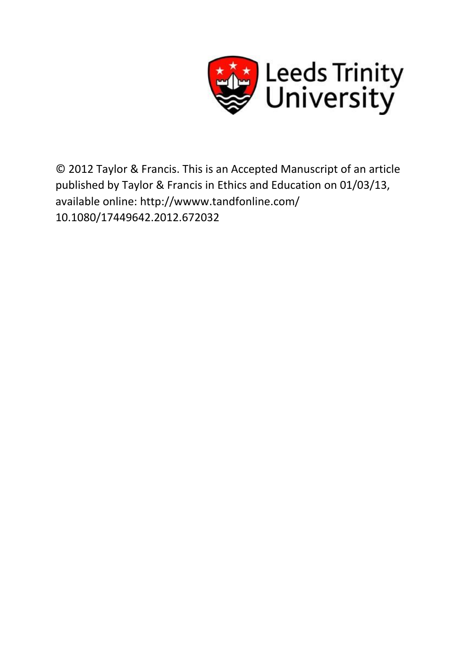

© 2012 Taylor & Francis. This is an Accepted Manuscript of an article published by Taylor & Francis in Ethics and Education on 01/03/13, available online: http://wwww.tandfonline.com/ 10.1080/17449642.2012.672032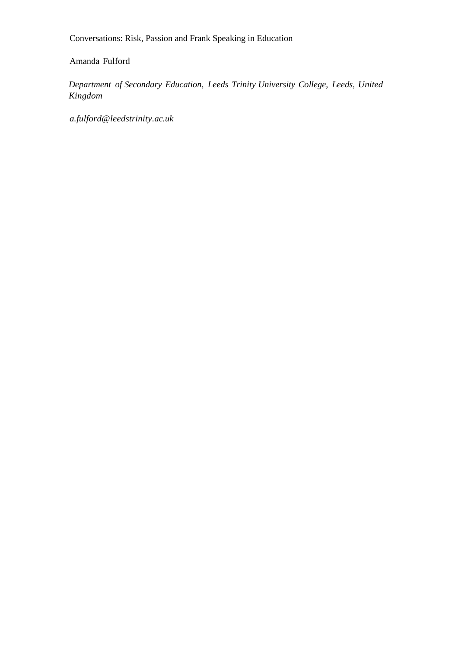Conversations: Risk, Passion and Frank Speaking in Education

# Amanda Fulford

*Department of Secondary Education, Leeds Trinity University College, Leeds, United Kingdom* 

*a.fulford@leedstrinity.ac.uk*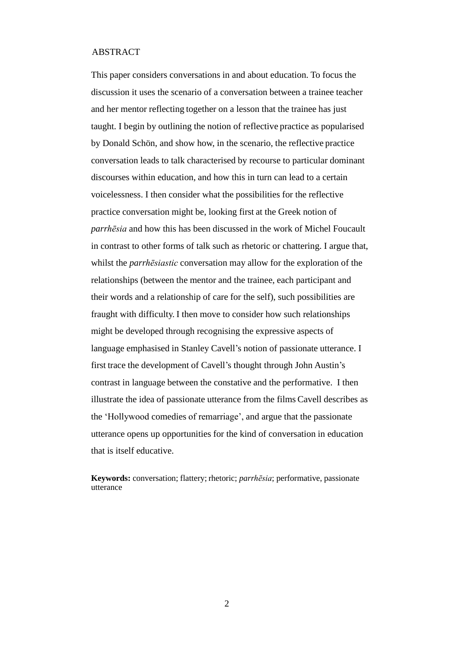#### ABSTRACT

This paper considers conversations in and about education. To focus the discussion it uses the scenario of a conversation between a trainee teacher and her mentor reflecting together on a lesson that the trainee has just taught. I begin by outlining the notion of reflective practice as popularised by Donald Schön, and show how, in the scenario, the reflective practice conversation leads to talk characterised by recourse to particular dominant discourses within education, and how this in turn can lead to a certain voicelessness. I then consider what the possibilities for the reflective practice conversation might be, looking first at the Greek notion of *parrhēsia* and how this has been discussed in the work of Michel Foucault in contrast to other forms of talk such as rhetoric or chattering. I argue that, whilst the *parrhēsiastic* conversation may allow for the exploration of the relationships (between the mentor and the trainee, each participant and their words and a relationship of care for the self), such possibilities are fraught with difficulty. I then move to consider how such relationships might be developed through recognising the expressive aspects of language emphasised in Stanley Cavell's notion of passionate utterance. I first trace the development of Cavell's thought through John Austin's contrast in language between the constative and the performative. I then illustrate the idea of passionate utterance from the films Cavell describes as the 'Hollywood comedies of remarriage', and argue that the passionate utterance opens up opportunities for the kind of conversation in education that is itself educative.

**Keywords:** conversation; flattery; rhetoric; *parrhēsia*; performative, passionate utterance

 $\mathfrak{D}$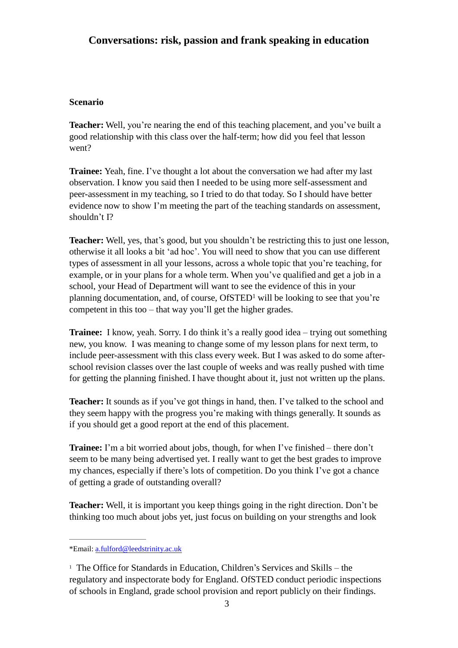# **Conversations: risk, passion and frank speaking in education**

### **Scenario**

**Teacher:** Well, you're nearing the end of this teaching placement, and you've built a good relationship with this class over the half-term; how did you feel that lesson went?

**Trainee:** Yeah, fine. I've thought a lot about the conversation we had after my last observation. I know you said then I needed to be using more self-assessment and peer-assessment in my teaching, so I tried to do that today. So I should have better evidence now to show I'm meeting the part of the teaching standards on assessment, shouldn't I?

**Teacher:** Well, yes, that's good, but you shouldn't be restricting this to just one lesson, otherwise it all looks a bit 'ad hoc'. You will need to show that you can use different types of assessment in all your lessons, across a whole topic that you're teaching, for example, or in your plans for a whole term. When you've qualified and get a job in a school, your Head of Department will want to see the evidence of this in your planning documentation, and, of course,  $OfSTED<sup>1</sup>$  will be looking to see that you're competent in this too – that way you'll get the higher grades.

**Trainee:** I know, yeah. Sorry. I do think it's a really good idea – trying out something new, you know. I was meaning to change some of my lesson plans for next term, to include peer-assessment with this class every week. But I was asked to do some afterschool revision classes over the last couple of weeks and was really pushed with time for getting the planning finished. I have thought about it, just not written up the plans.

**Teacher:** It sounds as if you've got things in hand, then. I've talked to the school and they seem happy with the progress you're making with things generally. It sounds as if you should get a good report at the end of this placement.

**Trainee:** I'm a bit worried about jobs, though, for when I've finished – there don't seem to be many being advertised yet. I really want to get the best grades to improve my chances, especially if there's lots of competition. Do you think I've got a chance of getting a grade of outstanding overall?

**Teacher:** Well, it is important you keep things going in the right direction. Don't be thinking too much about jobs yet, just focus on building on your strengths and look

<sup>\*</sup>Email: [a.fulford@leedstrinity.ac.uk](mailto:a.fulford@leedstrinity.ac.uk)

<sup>&</sup>lt;sup>1</sup> The Office for Standards in Education, Children's Services and Skills – the regulatory and inspectorate body for England. OfSTED conduct periodic inspections of schools in England, grade school provision and report publicly on their findings.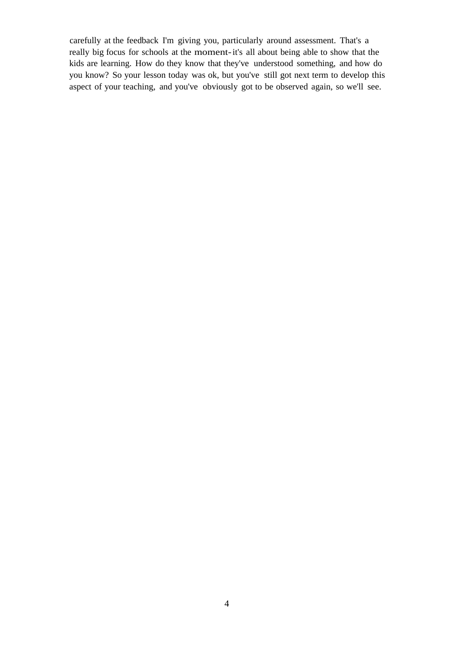carefully at the feedback I'm giving you, particularly around assessment. That's a really big focus for schools at the moment-it's all about being able to show that the kids are learning. How do they know that they've understood something, and how do you know? So your lesson today was ok, but you've still got next term to develop this aspect of your teaching, and you've obviously got to be observed again, so we'll see.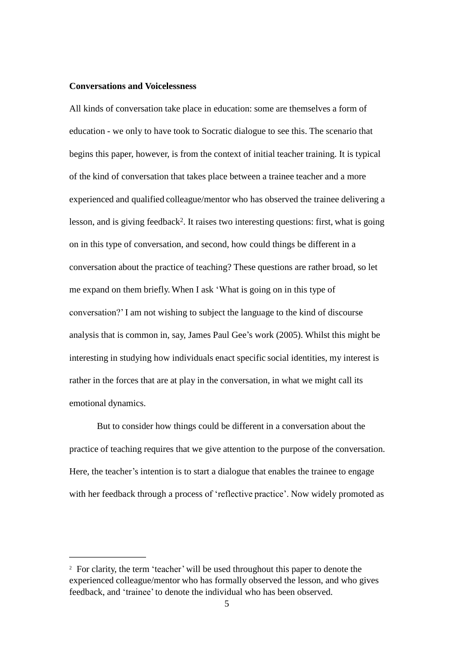#### **Conversations and Voicelessness**

All kinds of conversation take place in education: some are themselves a form of education - we only to have took to Socratic dialogue to see this. The scenario that begins this paper, however, is from the context of initial teacher training. It is typical of the kind of conversation that takes place between a trainee teacher and a more experienced and qualified colleague/mentor who has observed the trainee delivering a lesson, and is giving feedback<sup>2</sup>. It raises two interesting questions: first, what is going on in this type of conversation, and second, how could things be different in a conversation about the practice of teaching? These questions are rather broad, so let me expand on them briefly. When I ask 'What is going on in this type of conversation?'I am not wishing to subject the language to the kind of discourse analysis that is common in, say, James Paul Gee's work (2005). Whilst this might be interesting in studying how individuals enact specific social identities, my interest is rather in the forces that are at play in the conversation, in what we might call its emotional dynamics.

But to consider how things could be different in a conversation about the practice of teaching requires that we give attention to the purpose of the conversation. Here, the teacher's intention is to start a dialogue that enables the trainee to engage with her feedback through a process of 'reflective practice'. Now widely promoted as

<sup>&</sup>lt;sup>2</sup> For clarity, the term 'teacher' will be used throughout this paper to denote the experienced colleague/mentor who has formally observed the lesson, and who gives feedback, and 'trainee'to denote the individual who has been observed.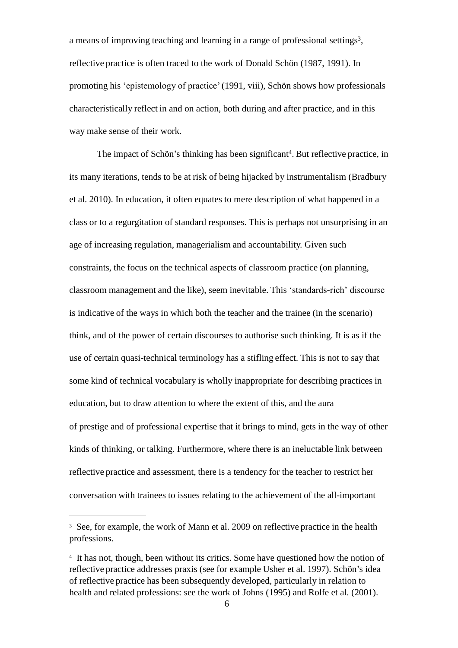a means of improving teaching and learning in a range of professional settings<sup>3</sup>, reflective practice is often traced to the work of Donald Schön (1987, 1991). In promoting his 'epistemology of practice'(1991, viii), Schön shows how professionals characteristically reflect in and on action, both during and after practice, and in this way make sense of their work.

The impact of Schön's thinking has been significant<sup>4</sup>. But reflective practice, in its many iterations, tends to be at risk of being hijacked by instrumentalism (Bradbury et al. 2010). In education, it often equates to mere description of what happened in a class or to a regurgitation of standard responses. This is perhaps not unsurprising in an age of increasing regulation, managerialism and accountability. Given such constraints, the focus on the technical aspects of classroom practice (on planning, classroom management and the like), seem inevitable. This 'standards-rich' discourse is indicative of the ways in which both the teacher and the trainee (in the scenario) think, and of the power of certain discourses to authorise such thinking. It is as if the use of certain quasi-technical terminology has a stifling effect. This is not to say that some kind of technical vocabulary is wholly inappropriate for describing practices in education, but to draw attention to where the extent of this, and the aura of prestige and of professional expertise that it brings to mind, gets in the way of other kinds of thinking, or talking. Furthermore, where there is an ineluctable link between reflective practice and assessment, there is a tendency for the teacher to restrict her conversation with trainees to issues relating to the achievement of the all-important

<sup>&</sup>lt;sup>3</sup> See, for example, the work of Mann et al. 2009 on reflective practice in the health professions.

<sup>&</sup>lt;sup>4</sup> It has not, though, been without its critics. Some have questioned how the notion of reflective practice addresses praxis (see for example Usher et al. 1997). Schön's idea of reflective practice has been subsequently developed, particularly in relation to health and related professions: see the work of Johns (1995) and Rolfe et al. (2001).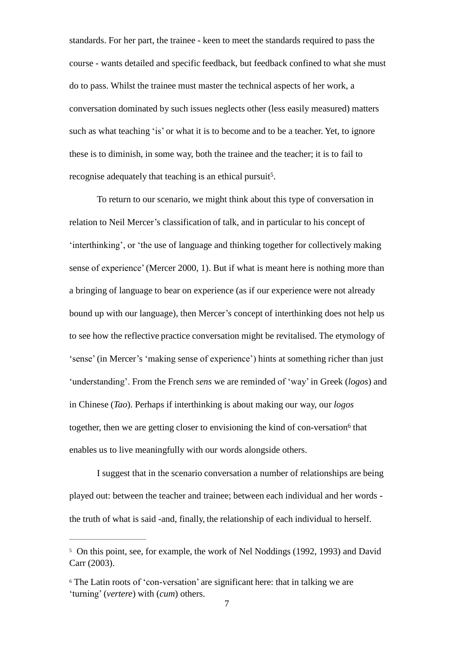standards. For her part, the trainee - keen to meet the standards required to pass the course - wants detailed and specific feedback, but feedback confined to what she must do to pass. Whilst the trainee must master the technical aspects of her work, a conversation dominated by such issues neglects other (less easily measured) matters such as what teaching 'is' or what it is to become and to be a teacher. Yet, to ignore these is to diminish, in some way, both the trainee and the teacher; it is to fail to recognise adequately that teaching is an ethical pursuit<sup>5</sup>.

To return to our scenario, we might think about this type of conversation in relation to Neil Mercer's classification of talk, and in particular to his concept of 'interthinking', or 'the use of language and thinking together for collectively making sense of experience'(Mercer 2000, 1). But if what is meant here is nothing more than a bringing of language to bear on experience (as if our experience were not already bound up with our language), then Mercer's concept of interthinking does not help us to see how the reflective practice conversation might be revitalised. The etymology of 'sense' (in Mercer's 'making sense of experience') hints at something richer than just 'understanding'. From the French *sens* we are reminded of 'way' in Greek (*logos*) and in Chinese (*Tao*). Perhaps if interthinking is about making our way, our *logos* together, then we are getting closer to envisioning the kind of con-versation<sup>6</sup> that enables us to live meaningfully with our words alongside others.

I suggest that in the scenario conversation a number of relationships are being played out: between the teacher and trainee; between each individual and her words the truth of what is said -and, finally, the relationship of each individual to herself.

<sup>&</sup>lt;sup>5</sup> On this point, see, for example, the work of Nel Noddings (1992, 1993) and David Carr (2003).

<sup>6</sup> The Latin roots of 'con-versation' are significant here: that in talking we are 'turning' (*vertere*) with (*cum*) others.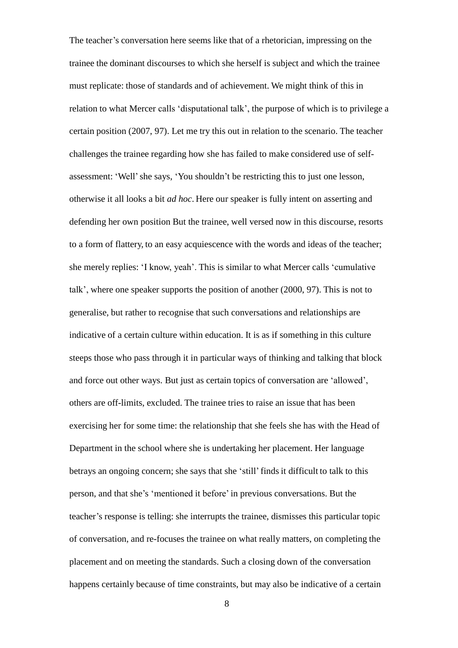The teacher's conversation here seems like that of a rhetorician, impressing on the trainee the dominant discourses to which she herself is subject and which the trainee must replicate: those of standards and of achievement. We might think of this in relation to what Mercer calls 'disputational talk', the purpose of which is to privilege a certain position (2007, 97). Let me try this out in relation to the scenario. The teacher challenges the trainee regarding how she has failed to make considered use of selfassessment: 'Well'she says, 'You shouldn't be restricting this to just one lesson, otherwise it all looks a bit *ad hoc*. Here our speaker is fully intent on asserting and defending her own position But the trainee, well versed now in this discourse, resorts to a form of flattery, to an easy acquiescence with the words and ideas of the teacher; she merely replies: 'I know, yeah'. This is similar to what Mercer calls 'cumulative talk', where one speaker supports the position of another (2000, 97). This is not to generalise, but rather to recognise that such conversations and relationships are indicative of a certain culture within education. It is as if something in this culture steeps those who pass through it in particular ways of thinking and talking that block and force out other ways. But just as certain topics of conversation are 'allowed', others are off-limits, excluded. The trainee tries to raise an issue that has been exercising her for some time: the relationship that she feels she has with the Head of Department in the school where she is undertaking her placement. Her language betrays an ongoing concern; she says that she 'still'finds it difficult to talk to this person, and that she's 'mentioned it before' in previous conversations. But the teacher's response is telling: she interrupts the trainee, dismisses this particular topic of conversation, and re-focuses the trainee on what really matters, on completing the placement and on meeting the standards. Such a closing down of the conversation happens certainly because of time constraints, but may also be indicative of a certain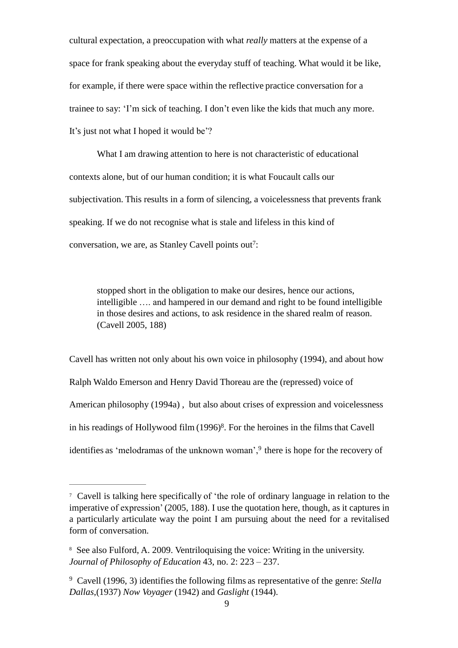cultural expectation, a preoccupation with what *really* matters at the expense of a space for frank speaking about the everyday stuff of teaching. What would it be like, for example, if there were space within the reflective practice conversation for a trainee to say: 'I'm sick of teaching. I don't even like the kids that much any more. It's just not what I hoped it would be'?

What I am drawing attention to here is not characteristic of educational contexts alone, but of our human condition; it is what Foucault calls our subjectivation. This results in a form of silencing, a voicelessness that prevents frank speaking. If we do not recognise what is stale and lifeless in this kind of conversation, we are, as Stanley Cavell points out<sup>7</sup>:

stopped short in the obligation to make our desires, hence our actions, intelligible …. and hampered in our demand and right to be found intelligible in those desires and actions, to ask residence in the shared realm of reason. (Cavell 2005, 188)

Cavell has written not only about his own voice in philosophy (1994), and about how Ralph Waldo Emerson and Henry David Thoreau are the (repressed) voice of American philosophy (1994a) , but also about crises of expression and voicelessness in his readings of Hollywood film (1996)<sup>8</sup>. For the heroines in the films that Cavell identifies as 'melodramas of the unknown woman',<sup>9</sup> there is hope for the recovery of

<sup>7</sup>Cavell is talking here specifically of 'the role of ordinary language in relation to the imperative of expression'(2005, 188). I use the quotation here, though, as it captures in a particularly articulate way the point I am pursuing about the need for a revitalised form of conversation.

<sup>&</sup>lt;sup>8</sup> See also Fulford, A. 2009. Ventriloquising the voice: Writing in the university. *Journal of Philosophy of Education* 43, no. 2: 223 – 237.

<sup>9</sup>Cavell (1996, 3) identifiesthe following films as representative of the genre: *Stella Dallas*,(1937) *Now Voyager* (1942) and *Gaslight* (1944).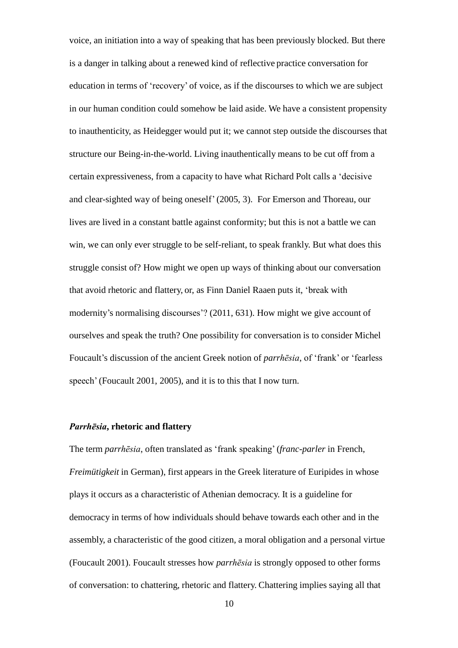voice, an initiation into a way of speaking that has been previously blocked. But there is a danger in talking about a renewed kind of reflective practice conversation for education in terms of 'recovery' of voice, as if the discourses to which we are subject in our human condition could somehow be laid aside. We have a consistent propensity to inauthenticity, as Heidegger would put it; we cannot step outside the discourses that structure our Being-in-the-world. Living inauthentically means to be cut off from a certain expressiveness, from a capacity to have what Richard Polt calls a 'decisive and clear-sighted way of being oneself'(2005, 3). For Emerson and Thoreau, our lives are lived in a constant battle against conformity; but this is not a battle we can win, we can only ever struggle to be self-reliant, to speak frankly. But what does this struggle consist of? How might we open up ways of thinking about our conversation that avoid rhetoric and flattery, or, as Finn Daniel Raaen puts it, 'break with modernity's normalising discourses'? (2011, 631). How might we give account of ourselves and speak the truth? One possibility for conversation is to consider Michel Foucault's discussion of the ancient Greek notion of *parrhēsia*, of 'frank' or 'fearless speech' (Foucault 2001, 2005), and it is to this that I now turn.

## *Parrhēsia***, rhetoric and flattery**

The term *parrhēsia*, often translated as 'frank speaking' (*franc-parler* in French, *Freimütigkeit* in German), first appears in the Greek literature of Euripides in whose plays it occurs as a characteristic of Athenian democracy. It is a guideline for democracy in terms of how individuals should behave towards each other and in the assembly, a characteristic of the good citizen, a moral obligation and a personal virtue (Foucault 2001). Foucault stresses how *parrhēsia* is strongly opposed to other forms of conversation: to chattering, rhetoric and flattery. Chattering implies saying all that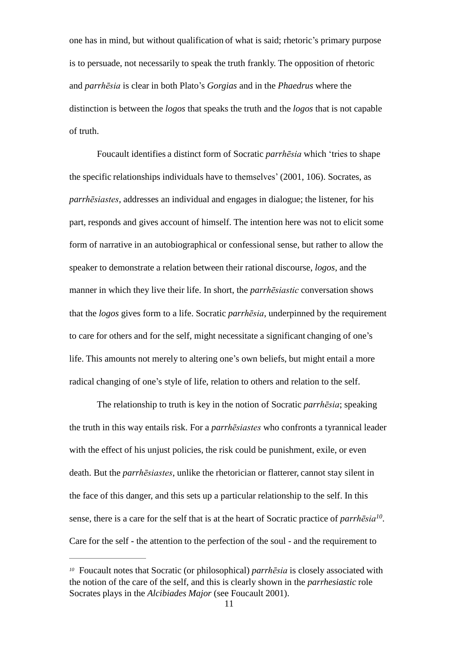one has in mind, but without qualification of what is said; rhetoric's primary purpose is to persuade, not necessarily to speak the truth frankly. The opposition of rhetoric and *parrhēsia* is clear in both Plato's *Gorgias* and in the *Phaedrus* where the distinction is between the *logos* that speaks the truth and the *logos* that is not capable of truth.

Foucault identifies a distinct form of Socratic *parrhēsia* which 'tries to shape the specific relationships individuals have to themselves' (2001, 106). Socrates, as *parrhēsiastes*, addresses an individual and engages in dialogue; the listener, for his part, responds and gives account of himself. The intention here was not to elicit some form of narrative in an autobiographical or confessional sense, but rather to allow the speaker to demonstrate a relation between their rational discourse, *logos*, and the manner in which they live their life. In short, the *parrhēsiastic* conversation shows that the *logos* gives form to a life. Socratic *parrhēsia*, underpinned by the requirement to care for others and for the self, might necessitate a significant changing of one's life. This amounts not merely to altering one's own beliefs, but might entail a more radical changing of one's style of life, relation to others and relation to the self.

The relationship to truth is key in the notion of Socratic *parrhēsia*; speaking the truth in this way entails risk. For a *parrhēsiastes* who confronts a tyrannical leader with the effect of his unjust policies, the risk could be punishment, exile, or even death. But the *parrhēsiastes*, unlike the rhetorician or flatterer, cannot stay silent in the face of this danger, and this sets up a particular relationship to the self. In this sense, there is a care for the self that is at the heart of Socratic practice of *parrhēsia<sup>10</sup>* . Care for the self - the attention to the perfection of the soul - and the requirement to

<sup>&</sup>lt;sup>10</sup> Foucault notes that Socratic (or philosophical) *parrhēsia* is closely associated with the notion of the care of the self, and this is clearly shown in the *parrhesiastic* role Socrates plays in the *Alcibiades Major* (see Foucault 2001).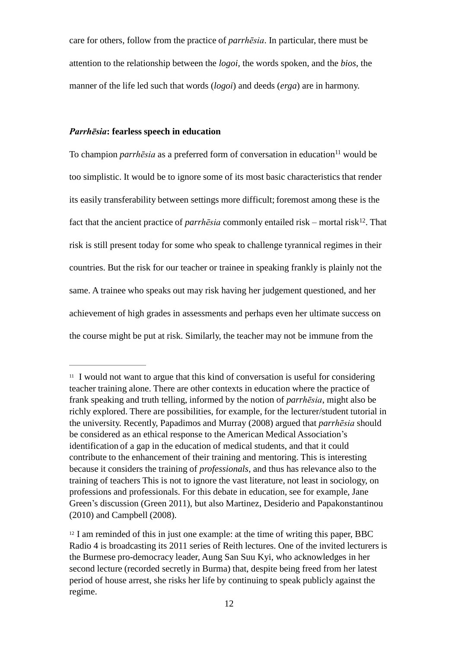care for others, follow from the practice of *parrhēsia*. In particular, there must be attention to the relationship between the *logoi,* the words spoken, and the *bios*, the manner of the life led such that words (*logoi*) and deeds (*erga*) are in harmony.

#### *Parrhēsia***: fearless speech in education**

To champion *parrhēsia* as a preferred form of conversation in education<sup>11</sup> would be too simplistic. It would be to ignore some of its most basic characteristics that render its easily transferability between settings more difficult; foremost among these is the fact that the ancient practice of *parrhēsia* commonly entailed risk – mortal risk<sup>12</sup>. That risk is still present today for some who speak to challenge tyrannical regimes in their countries. But the risk for our teacher or trainee in speaking frankly is plainly not the same. A trainee who speaks out may risk having her judgement questioned, and her achievement of high grades in assessments and perhaps even her ultimate success on the course might be put at risk. Similarly, the teacher may not be immune from the

 $11$  I would not want to argue that this kind of conversation is useful for considering teacher training alone. There are other contexts in education where the practice of frank speaking and truth telling, informed by the notion of *parrhēsia*, might also be richly explored. There are possibilities, for example, for the lecturer/student tutorial in the university. Recently, Papadimos and Murray (2008) argued that *parrhēsia* should be considered as an ethical response to the American Medical Association's identification of a gap in the education of medical students, and that it could contribute to the enhancement of their training and mentoring. This is interesting because it considers the training of *professionals*, and thus has relevance also to the training of teachers This is not to ignore the vast literature, not least in sociology, on professions and professionals. For this debate in education, see for example, Jane Green's discussion (Green 2011), but also Martinez, Desiderio and Papakonstantinou (2010) and Campbell (2008).

<sup>&</sup>lt;sup>12</sup> I am reminded of this in just one example: at the time of writing this paper, BBC Radio 4 is broadcasting its 2011 series of Reith lectures. One of the invited lecturers is the Burmese pro-democracy leader, Aung San Suu Kyi, who acknowledges in her second lecture (recorded secretly in Burma) that, despite being freed from her latest period of house arrest, she risks her life by continuing to speak publicly against the regime.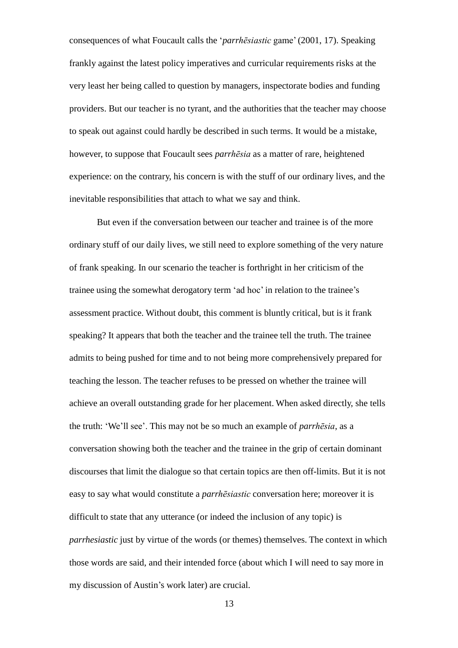consequences of what Foucault calls the '*parrhēsiastic* game'(2001, 17). Speaking frankly against the latest policy imperatives and curricular requirements risks at the very least her being called to question by managers, inspectorate bodies and funding providers. But our teacher is no tyrant, and the authorities that the teacher may choose to speak out against could hardly be described in such terms. It would be a mistake, however, to suppose that Foucault sees *parrhēsia* as a matter of rare, heightened experience: on the contrary, his concern is with the stuff of our ordinary lives, and the inevitable responsibilities that attach to what we say and think.

But even if the conversation between our teacher and trainee is of the more ordinary stuff of our daily lives, we still need to explore something of the very nature of frank speaking. In our scenario the teacher is forthright in her criticism of the trainee using the somewhat derogatory term 'ad hoc' in relation to the trainee's assessment practice. Without doubt, this comment is bluntly critical, but is it frank speaking? It appears that both the teacher and the trainee tell the truth. The trainee admits to being pushed for time and to not being more comprehensively prepared for teaching the lesson. The teacher refuses to be pressed on whether the trainee will achieve an overall outstanding grade for her placement. When asked directly, she tells the truth: 'We'll see'. This may not be so much an example of *parrhēsia*, as a conversation showing both the teacher and the trainee in the grip of certain dominant discourses that limit the dialogue so that certain topics are then off-limits. But it is not easy to say what would constitute a *parrhēsiastic* conversation here; moreover it is difficult to state that any utterance (or indeed the inclusion of any topic) is *parrhesiastic* just by virtue of the words (or themes) themselves. The context in which those words are said, and their intended force (about which I will need to say more in my discussion of Austin's work later) are crucial.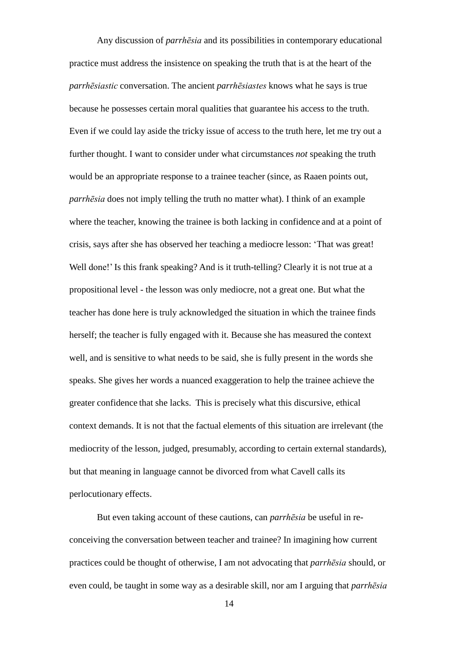Any discussion of *parrhēsia* and its possibilities in contemporary educational practice must address the insistence on speaking the truth that is at the heart of the *parrhēsiastic* conversation. The ancient *parrhēsiastes* knows what he says is true because he possesses certain moral qualities that guarantee his access to the truth. Even if we could lay aside the tricky issue of access to the truth here, let me try out a further thought. I want to consider under what circumstances *not* speaking the truth would be an appropriate response to a trainee teacher (since, as Raaen points out, *parrhēsia* does not imply telling the truth no matter what). I think of an example where the teacher, knowing the trainee is both lacking in confidence and at a point of crisis, says after she has observed her teaching a mediocre lesson: 'That was great! Well done!' Is this frank speaking? And is it truth-telling? Clearly it is not true at a propositional level - the lesson was only mediocre, not a great one. But what the teacher has done here is truly acknowledged the situation in which the trainee finds herself; the teacher is fully engaged with it. Because she has measured the context well, and is sensitive to what needs to be said, she is fully present in the words she speaks. She gives her words a nuanced exaggeration to help the trainee achieve the greater confidence that she lacks. This is precisely what this discursive, ethical context demands. It is not that the factual elements of this situation are irrelevant (the mediocrity of the lesson, judged, presumably, according to certain external standards), but that meaning in language cannot be divorced from what Cavell calls its perlocutionary effects.

But even taking account of these cautions, can *parrhēsia* be useful in reconceiving the conversation between teacher and trainee? In imagining how current practices could be thought of otherwise, I am not advocating that *parrhēsia* should, or even could, be taught in some way as a desirable skill, nor am I arguing that *parrhēsia*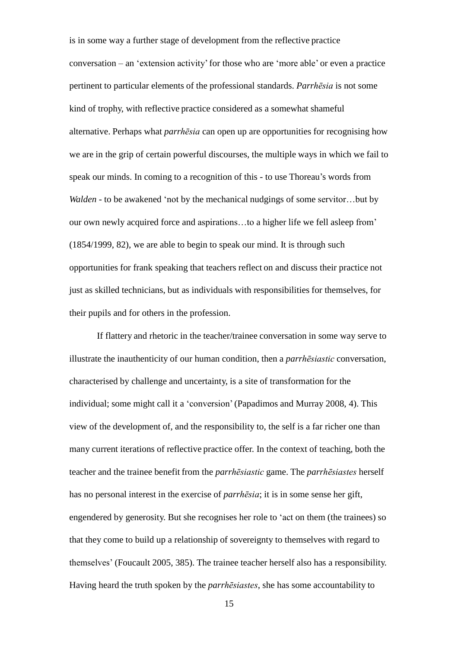is in some way a further stage of development from the reflective practice  $conversion - an 'extension activity' for those who are 'more able' or even a practice$ pertinent to particular elements of the professional standards. *Parrhēsia* is not some kind of trophy, with reflective practice considered as a somewhat shameful alternative. Perhaps what *parrhēsia* can open up are opportunities for recognising how we are in the grip of certain powerful discourses, the multiple ways in which we fail to speak our minds. In coming to a recognition of this - to use Thoreau's words from *Walden* - to be awakened 'not by the mechanical nudgings of some servitor…but by our own newly acquired force and aspirations…to a higher life we fell asleep from' (1854/1999, 82), we are able to begin to speak our mind. It is through such opportunities for frank speaking that teachers reflect on and discuss their practice not just as skilled technicians, but as individuals with responsibilities for themselves, for their pupils and for others in the profession.

If flattery and rhetoric in the teacher/trainee conversation in some way serve to illustrate the inauthenticity of our human condition, then a *parrhēsiastic* conversation, characterised by challenge and uncertainty, is a site of transformation for the individual; some might call it a 'conversion'(Papadimos and Murray 2008, 4). This view of the development of, and the responsibility to, the self is a far richer one than many current iterations of reflective practice offer. In the context of teaching, both the teacher and the trainee benefit from the *parrhēsiastic* game. The *parrhēsiastes* herself has no personal interest in the exercise of *parrhēsia*; it is in some sense her gift, engendered by generosity. But she recognises her role to 'act on them (the trainees) so that they come to build up a relationship of sovereignty to themselves with regard to themselves' (Foucault 2005, 385). The trainee teacher herself also has a responsibility. Having heard the truth spoken by the *parrhēsiastes*, she has some accountability to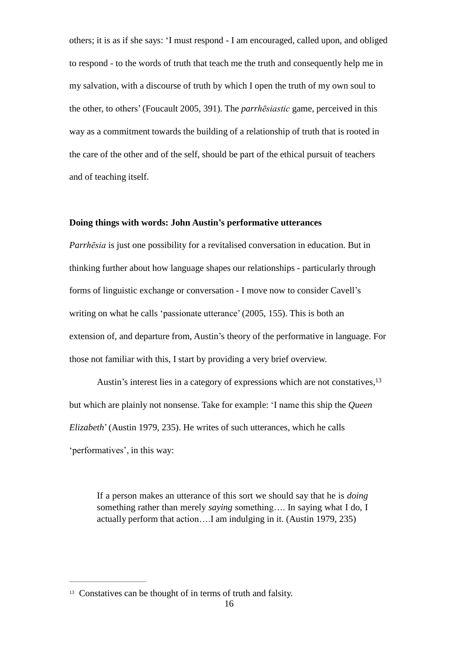others; it is as if she says: 'I must respond - I am encouraged, called upon, and obliged to respond - to the words of truth that teach me the truth and consequently help me in my salvation, with a discourse of truth by which I open the truth of my own soul to the other, to others' (Foucault 2005, 391). The *parrhēsiastic* game, perceived in this way as a commitment towards the building of a relationship of truth that is rooted in the care of the other and of the self, should be part of the ethical pursuit of teachers and of teaching itself.

#### **Doing things with words: John Austin's performative utterances**

*Parrhēsia* is just one possibility for a revitalised conversation in education. But in thinking further about how language shapes our relationships - particularly through forms of linguistic exchange or conversation - I move now to consider Cavell's writing on what he calls 'passionate utterance' (2005, 155). This is both an extension of, and departure from, Austin's theory of the performative in language. For those not familiar with this, I start by providing a very brief overview.

Austin's interest lies in a category of expressions which are not constatives,<sup>13</sup> but which are plainly not nonsense. Take for example: 'I name this ship the *Queen Elizabeth*'(Austin 1979, 235). He writes of such utterances, which he calls 'performatives', in this way:

If a person makes an utterance of this sort we should say that he is *doing*  something rather than merely *saying* something…. In saying what I do, I actually perform that action….I am indulging in it. (Austin 1979, 235)

<sup>&</sup>lt;sup>13</sup> Constatives can be thought of in terms of truth and falsity.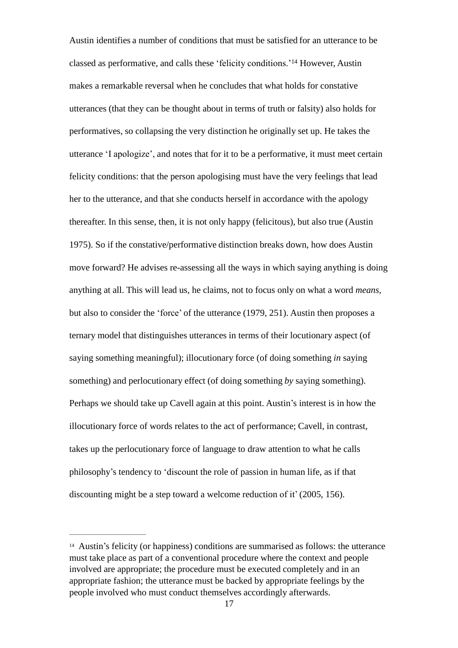Austin identifies a number of conditions that must be satisfied for an utterance to be classed as performative, and calls these 'felicity conditions.'<sup>14</sup> However, Austin makes a remarkable reversal when he concludes that what holds for constative utterances (that they can be thought about in terms of truth or falsity) also holds for performatives, so collapsing the very distinction he originally set up. He takes the utterance 'I apologize', and notes that for it to be a performative, it must meet certain felicity conditions: that the person apologising must have the very feelings that lead her to the utterance, and that she conducts herself in accordance with the apology thereafter. In this sense, then, it is not only happy (felicitous), but also true (Austin 1975). So if the constative/performative distinction breaks down, how does Austin move forward? He advises re-assessing all the ways in which saying anything is doing anything at all. This will lead us, he claims, not to focus only on what a word *means*, but also to consider the 'force' of the utterance (1979, 251). Austin then proposes a ternary model that distinguishes utterances in terms of their locutionary aspect (of saying something meaningful); illocutionary force (of doing something *in* saying something) and perlocutionary effect (of doing something *by* saying something). Perhaps we should take up Cavell again at this point. Austin's interest is in how the illocutionary force of words relates to the act of performance; Cavell, in contrast, takes up the perlocutionary force of language to draw attention to what he calls philosophy's tendency to 'discount the role of passion in human life, as if that discounting might be a step toward a welcome reduction of it' (2005, 156).

<sup>14</sup>Austin's felicity (or happiness) conditions are summarised as follows: the utterance must take place as part of a conventional procedure where the context and people involved are appropriate; the procedure must be executed completely and in an appropriate fashion; the utterance must be backed by appropriate feelings by the people involved who must conduct themselves accordingly afterwards.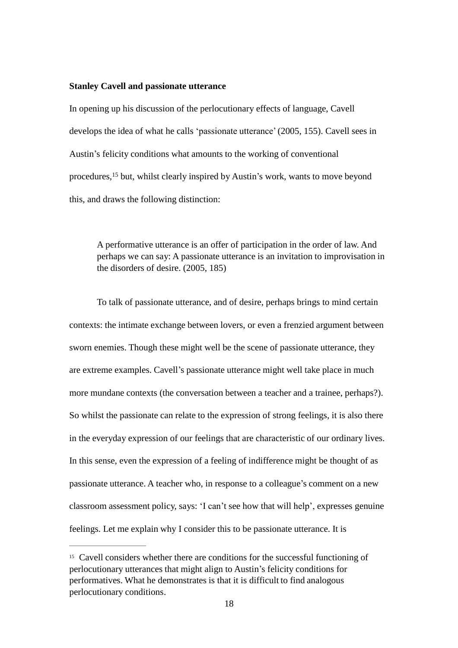#### **Stanley Cavell and passionate utterance**

In opening up his discussion of the perlocutionary effects of language, Cavell develops the idea of what he calls 'passionate utterance'(2005, 155). Cavell sees in Austin's felicity conditions what amounts to the working of conventional procedures,<sup>15</sup> but, whilst clearly inspired by Austin's work, wants to move beyond this, and draws the following distinction:

A performative utterance is an offer of participation in the order of law. And perhaps we can say: A passionate utterance is an invitation to improvisation in the disorders of desire. (2005, 185)

To talk of passionate utterance, and of desire, perhaps brings to mind certain contexts: the intimate exchange between lovers, or even a frenzied argument between sworn enemies. Though these might well be the scene of passionate utterance, they are extreme examples. Cavell's passionate utterance might well take place in much more mundane contexts (the conversation between a teacher and a trainee, perhaps?). So whilst the passionate can relate to the expression of strong feelings, it is also there in the everyday expression of our feelings that are characteristic of our ordinary lives. In this sense, even the expression of a feeling of indifference might be thought of as passionate utterance. A teacher who, in response to a colleague's comment on a new classroom assessment policy, says: 'I can't see how that will help', expresses genuine feelings. Let me explain why I consider this to be passionate utterance. It is

<sup>&</sup>lt;sup>15</sup> Cavell considers whether there are conditions for the successful functioning of perlocutionary utterances that might align to Austin's felicity conditions for performatives. What he demonstrates is that it is difficult to find analogous perlocutionary conditions.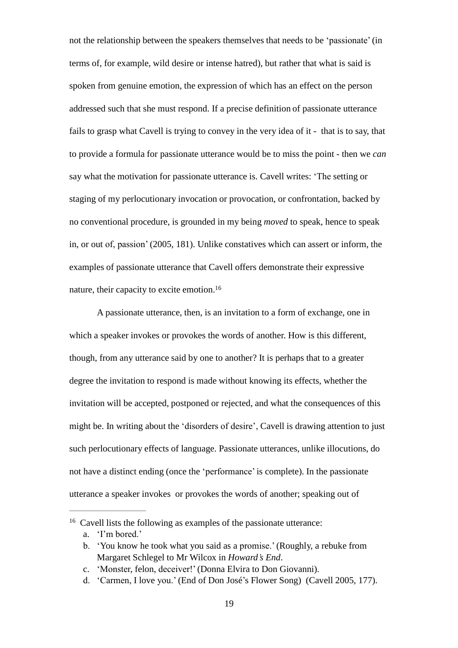not the relationship between the speakers themselves that needs to be 'passionate'(in terms of, for example, wild desire or intense hatred), but rather that what is said is spoken from genuine emotion, the expression of which has an effect on the person addressed such that she must respond. If a precise definition of passionate utterance fails to grasp what Cavell is trying to convey in the very idea of it - that is to say, that to provide a formula for passionate utterance would be to miss the point - then we *can*  say what the motivation for passionate utterance is. Cavell writes: 'The setting or staging of my perlocutionary invocation or provocation, or confrontation, backed by no conventional procedure, is grounded in my being *moved* to speak, hence to speak in, or out of, passion' (2005, 181). Unlike constatives which can assert or inform, the examples of passionate utterance that Cavell offers demonstrate their expressive nature, their capacity to excite emotion.<sup>16</sup>

A passionate utterance, then, is an invitation to a form of exchange, one in which a speaker invokes or provokes the words of another. How is this different, though, from any utterance said by one to another? It is perhaps that to a greater degree the invitation to respond is made without knowing its effects, whether the invitation will be accepted, postponed or rejected, and what the consequences of this might be. In writing about the 'disorders of desire', Cavell is drawing attention to just such perlocutionary effects of language. Passionate utterances, unlike illocutions, do not have a distinct ending (once the 'performance'is complete). In the passionate utterance a speaker invokes or provokes the words of another; speaking out of

<sup>&</sup>lt;sup>16</sup> Cavell lists the following as examples of the passionate utterance:

a. 'I'm bored.'

b. 'You know he took what you said as a promise.'(Roughly, a rebuke from Margaret Schlegel to Mr Wilcox in *Howard's End*.

c. 'Monster, felon, deceiver!'(Donna Elvira to Don Giovanni).

d. 'Carmen, I love you.' (End of Don José's Flower Song) (Cavell 2005, 177).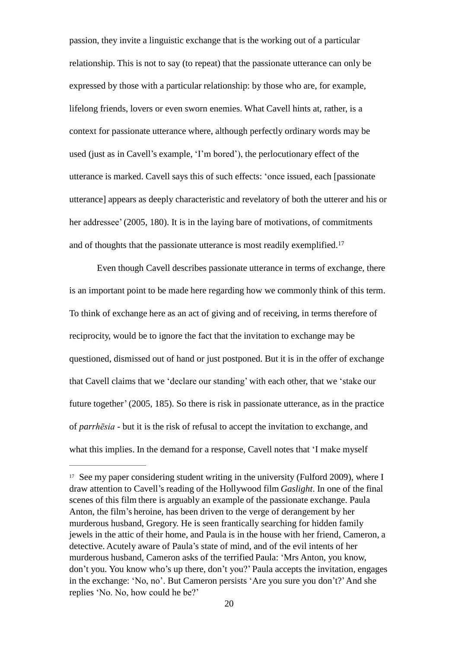passion, they invite a linguistic exchange that is the working out of a particular relationship. This is not to say (to repeat) that the passionate utterance can only be expressed by those with a particular relationship: by those who are, for example, lifelong friends, lovers or even sworn enemies. What Cavell hints at, rather, is a context for passionate utterance where, although perfectly ordinary words may be used (just as in Cavell's example, 'I'm bored'), the perlocutionary effect of the utterance is marked. Cavell says this of such effects: 'once issued, each [passionate utterance] appears as deeply characteristic and revelatory of both the utterer and his or her addressee' (2005, 180). It is in the laying bare of motivations, of commitments and of thoughts that the passionate utterance is most readily exemplified.<sup>17</sup>

Even though Cavell describes passionate utterance in terms of exchange, there is an important point to be made here regarding how we commonly think of this term. To think of exchange here as an act of giving and of receiving, in terms therefore of reciprocity, would be to ignore the fact that the invitation to exchange may be questioned, dismissed out of hand or just postponed. But it is in the offer of exchange that Cavell claims that we 'declare our standing' with each other, that we 'stake our future together'(2005, 185). So there is risk in passionate utterance, as in the practice of *parrhēsia* - but it is the risk of refusal to accept the invitation to exchange, and what this implies. In the demand for a response, Cavell notes that 'I make myself

 $17$  See my paper considering student writing in the university (Fulford 2009), where I draw attention to Cavell's reading of the Hollywood film *Gaslight*. In one of the final scenes of this film there is arguably an example of the passionate exchange. Paula Anton, the film's heroine, has been driven to the verge of derangement by her murderous husband, Gregory. He is seen frantically searching for hidden family jewels in the attic of their home, and Paula is in the house with her friend, Cameron, a detective. Acutely aware of Paula's state of mind, and of the evil intents of her murderous husband, Cameron asks of the terrified Paula: 'Mrs Anton, you know, don't you. You know who's up there, don't you?' Paula accepts the invitation, engages in the exchange: 'No, no'. But Cameron persists 'Are you sure you don't?'And she replies 'No. No, how could he be?'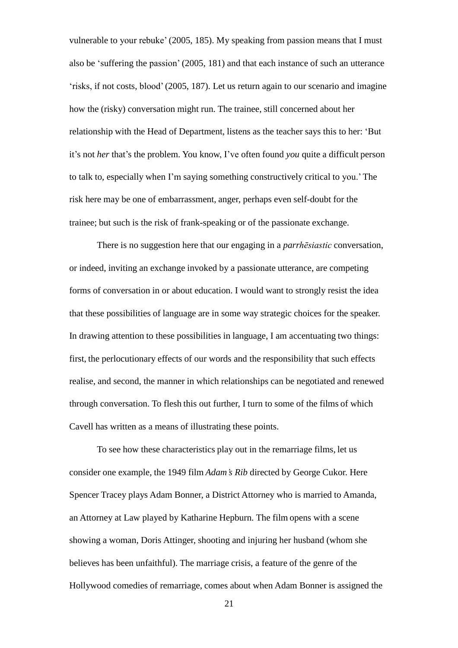vulnerable to your rebuke' (2005, 185). My speaking from passion means that I must also be 'suffering the passion' (2005, 181) and that each instance of such an utterance 'risks, if not costs, blood'(2005, 187). Let us return again to our scenario and imagine how the (risky) conversation might run. The trainee, still concerned about her relationship with the Head of Department, listens as the teacher says this to her: 'But it's not *her* that's the problem. You know, I've often found *you* quite a difficult person to talk to, especially when I'm saying something constructively critical to you.' The risk here may be one of embarrassment, anger, perhaps even self-doubt for the trainee; but such is the risk of frank-speaking or of the passionate exchange.

There is no suggestion here that our engaging in a *parrhēsiastic* conversation, or indeed, inviting an exchange invoked by a passionate utterance, are competing forms of conversation in or about education. I would want to strongly resist the idea that these possibilities of language are in some way strategic choices for the speaker. In drawing attention to these possibilities in language, I am accentuating two things: first, the perlocutionary effects of our words and the responsibility that such effects realise, and second, the manner in which relationships can be negotiated and renewed through conversation. To flesh this out further, I turn to some of the films of which Cavell has written as a means of illustrating these points.

To see how these characteristics play out in the remarriage films, let us consider one example, the 1949 film *Adam's Rib* directed by George Cukor. Here Spencer Tracey plays Adam Bonner, a District Attorney who is married to Amanda, an Attorney at Law played by Katharine Hepburn. The film opens with a scene showing a woman, Doris Attinger, shooting and injuring her husband (whom she believes has been unfaithful). The marriage crisis, a feature of the genre of the Hollywood comedies of remarriage, comes about when Adam Bonner is assigned the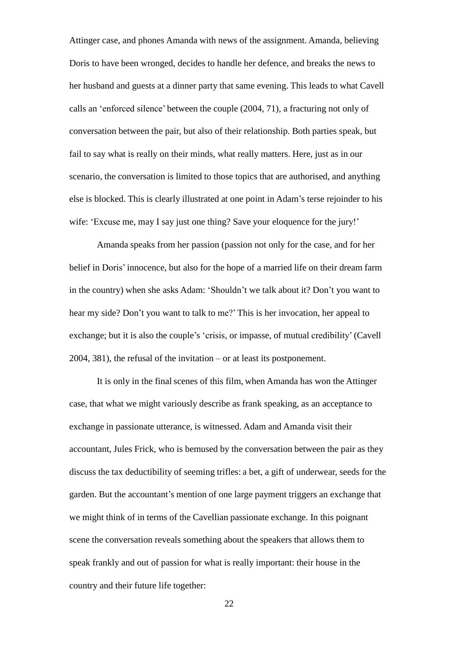Attinger case, and phones Amanda with news of the assignment. Amanda, believing Doris to have been wronged, decides to handle her defence, and breaks the news to her husband and guests at a dinner party that same evening. This leads to what Cavell calls an 'enforced silence' between the couple (2004, 71), a fracturing not only of conversation between the pair, but also of their relationship. Both parties speak, but fail to say what is really on their minds, what really matters. Here, just as in our scenario, the conversation is limited to those topics that are authorised, and anything else is blocked. This is clearly illustrated at one point in Adam's terse rejoinder to his wife: 'Excuse me, may I say just one thing? Save your eloquence for the jury!'

Amanda speaks from her passion (passion not only for the case, and for her belief in Doris' innocence, but also for the hope of a married life on their dream farm in the country) when she asks Adam: 'Shouldn't we talk about it? Don't you want to hear my side? Don't you want to talk to me?' This is her invocation, her appeal to exchange; but it is also the couple's 'crisis, or impasse, of mutual credibility' (Cavell 2004, 381), the refusal of the invitation – or at least its postponement.

It is only in the final scenes of this film, when Amanda has won the Attinger case, that what we might variously describe as frank speaking, as an acceptance to exchange in passionate utterance, is witnessed. Adam and Amanda visit their accountant, Jules Frick, who is bemused by the conversation between the pair as they discuss the tax deductibility of seeming trifles: a bet, a gift of underwear, seeds for the garden. But the accountant's mention of one large payment triggers an exchange that we might think of in terms of the Cavellian passionate exchange. In this poignant scene the conversation reveals something about the speakers that allows them to speak frankly and out of passion for what is really important: their house in the country and their future life together: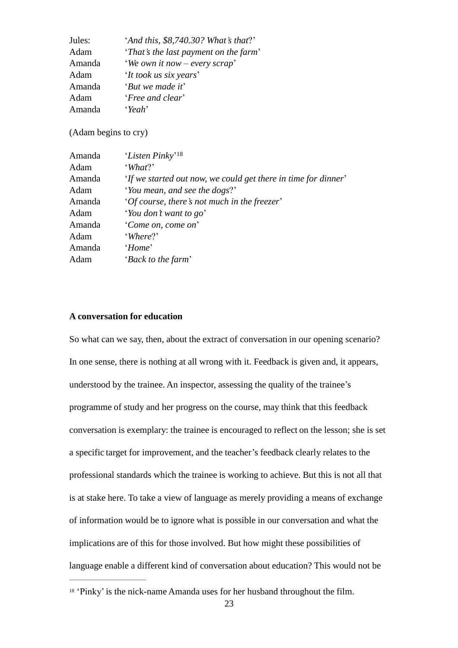| Jules: | 'And this, \$8,740.30? What's that?'  |
|--------|---------------------------------------|
| Adam   | 'That's the last payment on the farm' |
| Amanda | <i>'We own it now – every scrap'</i>  |
| Adam   | 'It took us six years'                |
| Amanda | 'But we made it'                      |
| Adam   | <i>'Free and clear'</i>               |
| Amanda | 'Yeah'                                |

(Adam begins to cry)

| Amanda | 'Listen Pinky' <sup>18</sup>                                   |
|--------|----------------------------------------------------------------|
| Adam   | What?                                                          |
| Amanda | 'If we started out now, we could get there in time for dinner' |
| Adam   | 'You mean, and see the dogs?'                                  |
| Amanda | 'Of course, there's not much in the freezer'                   |
| Adam   | 'You don't want to go'                                         |
| Amanda | 'Come on, come on'                                             |
| Adam   | 'Where?'                                                       |
| Amanda | 'Home'                                                         |
| Adam   | 'Back to the farm'                                             |

## **A conversation for education**

So what can we say, then, about the extract of conversation in our opening scenario? In one sense, there is nothing at all wrong with it. Feedback is given and, it appears, understood by the trainee. An inspector, assessing the quality of the trainee's programme of study and her progress on the course, may think that this feedback conversation is exemplary: the trainee is encouraged to reflect on the lesson; she is set a specific target for improvement, and the teacher's feedback clearly relates to the professional standards which the trainee is working to achieve. But this is not all that is at stake here. To take a view of language as merely providing a means of exchange of information would be to ignore what is possible in our conversation and what the implications are of this for those involved. But how might these possibilities of language enable a different kind of conversation about education? This would not be

<sup>&</sup>lt;sup>18</sup> 'Pinky' is the nick-name Amanda uses for her husband throughout the film.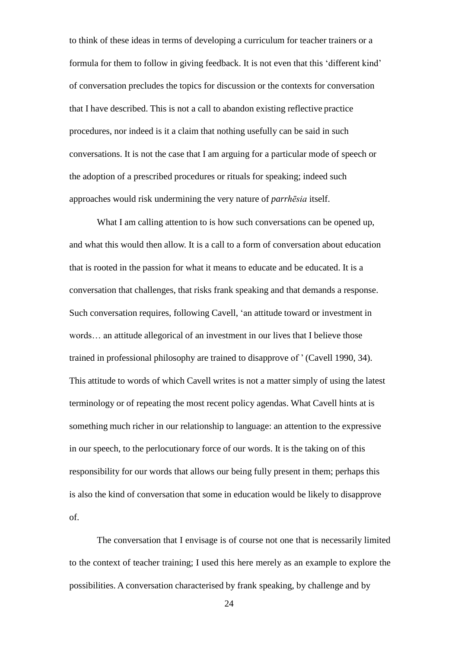to think of these ideas in terms of developing a curriculum for teacher trainers or a formula for them to follow in giving feedback. It is not even that this 'different kind' of conversation precludes the topics for discussion or the contexts for conversation that I have described. This is not a call to abandon existing reflective practice procedures, nor indeed is it a claim that nothing usefully can be said in such conversations. It is not the case that I am arguing for a particular mode of speech or the adoption of a prescribed procedures or rituals for speaking; indeed such approaches would risk undermining the very nature of *parrhēsia* itself.

What I am calling attention to is how such conversations can be opened up, and what this would then allow. It is a call to a form of conversation about education that is rooted in the passion for what it means to educate and be educated. It is a conversation that challenges, that risks frank speaking and that demands a response. Such conversation requires, following Cavell, 'an attitude toward or investment in words… an attitude allegorical of an investment in our lives that I believe those trained in professional philosophy are trained to disapprove of ' (Cavell 1990, 34). This attitude to words of which Cavell writes is not a matter simply of using the latest terminology or of repeating the most recent policy agendas. What Cavell hints at is something much richer in our relationship to language: an attention to the expressive in our speech, to the perlocutionary force of our words. It is the taking on of this responsibility for our words that allows our being fully present in them; perhaps this is also the kind of conversation that some in education would be likely to disapprove of.

The conversation that I envisage is of course not one that is necessarily limited to the context of teacher training; I used this here merely as an example to explore the possibilities. A conversation characterised by frank speaking, by challenge and by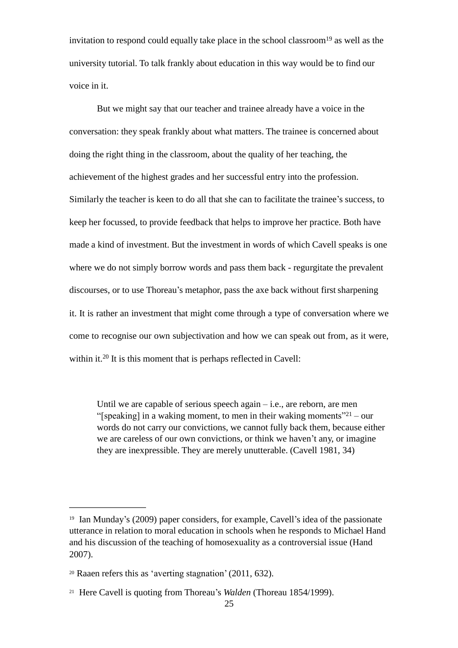invitation to respond could equally take place in the school classroom<sup>19</sup> as well as the university tutorial. To talk frankly about education in this way would be to find our voice in it.

But we might say that our teacher and trainee already have a voice in the conversation: they speak frankly about what matters. The trainee is concerned about doing the right thing in the classroom, about the quality of her teaching, the achievement of the highest grades and her successful entry into the profession. Similarly the teacher is keen to do all that she can to facilitate the trainee's success, to keep her focussed, to provide feedback that helps to improve her practice. Both have made a kind of investment. But the investment in words of which Cavell speaks is one where we do not simply borrow words and pass them back - regurgitate the prevalent discourses, or to use Thoreau's metaphor, pass the axe back without first sharpening it. It is rather an investment that might come through a type of conversation where we come to recognise our own subjectivation and how we can speak out from, as it were, within it.<sup>20</sup> It is this moment that is perhaps reflected in Cavell:

Until we are capable of serious speech again  $-$  i.e., are reborn, are men "[speaking] in a waking moment, to men in their waking moments"<sup>21</sup> – our words do not carry our convictions, we cannot fully back them, because either we are careless of our own convictions, or think we haven't any, or imagine they are inexpressible. They are merely unutterable. (Cavell 1981, 34)

 $19$  Ian Munday's (2009) paper considers, for example, Cavell's idea of the passionate utterance in relation to moral education in schools when he responds to Michael Hand and his discussion of the teaching of homosexuality as a controversial issue (Hand 2007).

<sup>20</sup> Raaen refers this as 'averting stagnation'(2011, 632).

<sup>&</sup>lt;sup>21</sup> Here Cavell is quoting from Thoreau's *Walden* (Thoreau 1854/1999).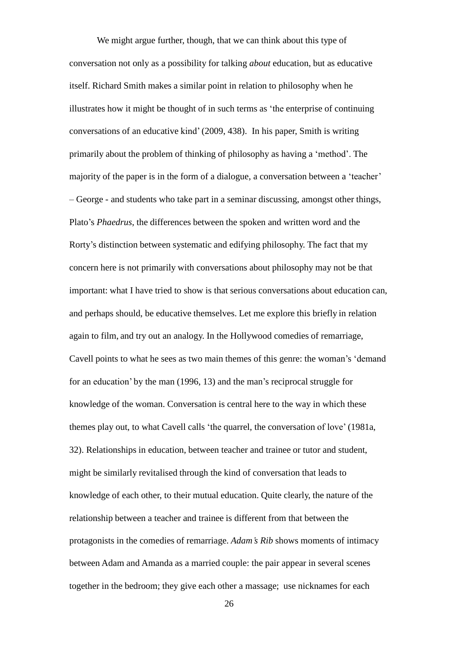We might argue further, though, that we can think about this type of conversation not only as a possibility for talking *about* education, but as educative itself. Richard Smith makes a similar point in relation to philosophy when he illustrates how it might be thought of in such terms as 'the enterprise of continuing conversations of an educative kind' (2009, 438). In his paper, Smith is writing primarily about the problem of thinking of philosophy as having a 'method'. The majority of the paper is in the form of a dialogue, a conversation between a 'teacher' – George - and students who take part in a seminar discussing, amongst other things, Plato's *Phaedrus*, the differences between the spoken and written word and the Rorty's distinction between systematic and edifying philosophy. The fact that my concern here is not primarily with conversations about philosophy may not be that important: what I have tried to show is that serious conversations about education can, and perhaps should, be educative themselves. Let me explore this briefly in relation again to film, and try out an analogy. In the Hollywood comedies of remarriage, Cavell points to what he sees as two main themes of this genre: the woman's 'demand for an education' by the man (1996, 13) and the man's reciprocal struggle for knowledge of the woman. Conversation is central here to the way in which these themes play out, to what Cavell calls 'the quarrel, the conversation of love' (1981a, 32). Relationships in education, between teacher and trainee or tutor and student, might be similarly revitalised through the kind of conversation that leads to knowledge of each other, to their mutual education. Quite clearly, the nature of the relationship between a teacher and trainee is different from that between the protagonists in the comedies of remarriage. *Adam's Rib* shows moments of intimacy between Adam and Amanda as a married couple: the pair appear in several scenes together in the bedroom; they give each other a massage; use nicknames for each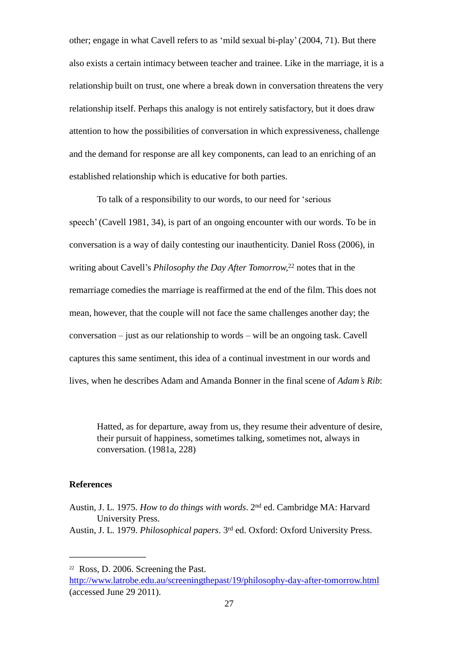other; engage in what Cavell refers to as 'mild sexual bi-play' (2004, 71). But there also exists a certain intimacy between teacher and trainee. Like in the marriage, it is a relationship built on trust, one where a break down in conversation threatens the very relationship itself. Perhaps this analogy is not entirely satisfactory, but it does draw attention to how the possibilities of conversation in which expressiveness, challenge and the demand for response are all key components, can lead to an enriching of an established relationship which is educative for both parties.

To talk of a responsibility to our words, to our need for 'serious speech' (Cavell 1981, 34), is part of an ongoing encounter with our words. To be in conversation is a way of daily contesting our inauthenticity. Daniel Ross (2006), in writing about Cavell's *Philosophy the Day After Tomorrow,* <sup>22</sup> notes that in the remarriage comedies the marriage is reaffirmed at the end of the film. This does not mean, however, that the couple will not face the same challenges another day; the conversation – just as our relationship to words – will be an ongoing task. Cavell captures this same sentiment, this idea of a continual investment in our words and lives, when he describes Adam and Amanda Bonner in the final scene of *Adam's Rib*:

Hatted, as for departure, away from us, they resume their adventure of desire, their pursuit of happiness, sometimes talking, sometimes not, always in conversation. (1981a, 228)

### **References**

Austin, J. L. 1975. *How to do things with words*. 2 nd ed. Cambridge MA: Harvard University Press.

Austin, J. L. 1979. *Philosophical papers*. 3 rd ed. Oxford: Oxford University Press.

 $22$  Ross, D. 2006. Screening the Past.

<http://www.latrobe.edu.au/screeningthepast/19/philosophy-day-after-tomorrow.html> (accessed June 29 2011).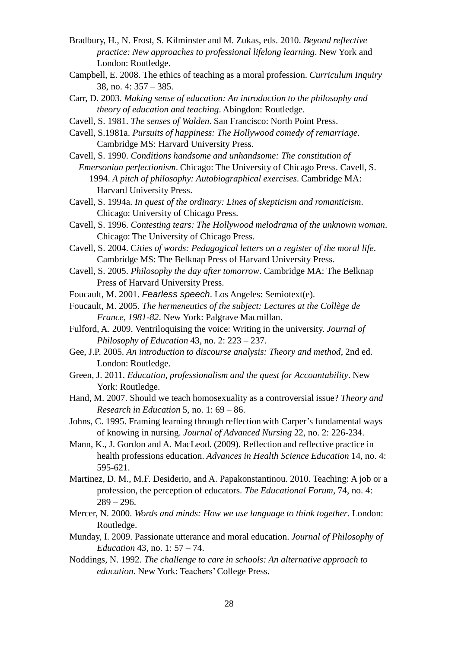- Bradbury, H., N. Frost, S. Kilminster and M. Zukas, eds. 2010. *Beyond reflective practice: New approaches to professional lifelong learning*. New York and London: Routledge.
- Campbell, E. 2008. The ethics of teaching as a moral profession. *Curriculum Inquiry* 38, no. 4: 357 – 385.
- Carr, D. 2003. *Making sense of education: An introduction to the philosophy and theory of education and teaching*. Abingdon: Routledge.
- Cavell, S. 1981. *The senses of Walden*. San Francisco: North Point Press.
- Cavell, S.1981a. *Pursuits of happiness: The Hollywood comedy of remarriage*. Cambridge MS: Harvard University Press.
- Cavell, S. 1990. *Conditions handsome and unhandsome: The constitution of*

*Emersonian perfectionism*. Chicago: The University of Chicago Press. Cavell, S. 1994. *A pitch of philosophy: Autobiographical exercises*. Cambridge MA: Harvard University Press.

- Cavell, S. 1994a. *In quest of the ordinary: Lines of skepticism and romanticism*. Chicago: University of Chicago Press.
- Cavell, S. 1996. *Contesting tears: The Hollywood melodrama of the unknown woman*. Chicago: The University of Chicago Press.
- Cavell, S. 2004. C*ities of words: Pedagogical letters on a register of the moral life*. Cambridge MS: The Belknap Press of Harvard University Press.
- Cavell, S. 2005. *Philosophy the day after tomorrow*. Cambridge MA: The Belknap Press of Harvard University Press.
- Foucault, M. 2001. *Fearless speech*. Los Angeles: Semiotext(e).
- Foucault, M. 2005. *The hermeneutics of the subject: Lectures at the Collège de France, 1981-82*. New York: Palgrave Macmillan.
- Fulford, A. 2009. Ventriloquising the voice: Writing in the university. *Journal of Philosophy of Education* 43, no. 2: 223 – 237.
- Gee, J.P. 2005. *An introduction to discourse analysis: Theory and method*, 2nd ed. London: Routledge.
- Green, J. 2011. *Education, professionalism and the quest for Accountability*. New York: Routledge.
- Hand, M. 2007. Should we teach homosexuality as a controversial issue? *Theory and Research in Education* 5, no. 1: 69 – 86.
- Johns, C. 1995. Framing learning through reflection with Carper's fundamental ways of knowing in nursing. *Journal of Advanced Nursing* 22, no. 2: 226-234.
- Mann, K., J. Gordon and A. MacLeod. (2009). Reflection and reflective practice in health professions education. *Advances in Health Science Education* 14, no. 4: 595-621.
- Martinez, D. M., M.F. Desiderio, and A. Papakonstantinou. 2010. Teaching: A job or a profession, the perception of educators. *The Educational Forum*, 74, no. 4:  $289 - 296.$
- Mercer, N. 2000. *Words and minds: How we use language to think together*. London: Routledge.
- Munday, I. 2009. Passionate utterance and moral education. *Journal of Philosophy of Education* 43, no. 1: 57 – 74.
- Noddings, N. 1992. *The challenge to care in schools: An alternative approach to education*. New York: Teachers'College Press.